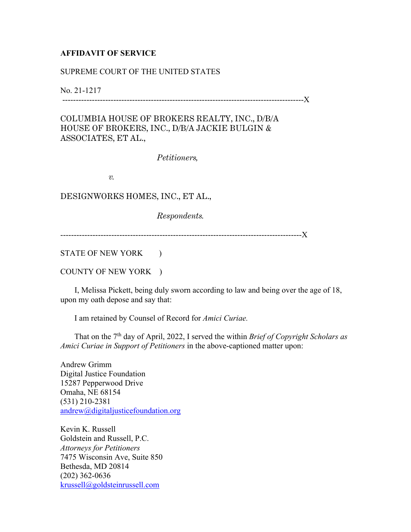## **AFFIDAVIT OF SERVICE**

## SUPREME COURT OF THE UNITED STATES

No. 21-1217

------------------------------------------------------------------------------------------X

COLUMBIA HOUSE OF BROKERS REALTY, INC., D/B/A HOUSE OF BROKERS, INC., D/B/A JACKIE BULGIN & ASSOCIATES, ET AL.,

*Petitioners,* 

*v.* 

DESIGNWORKS HOMES, INC., ET AL.,

*Respondents.*

------------------------------------------------------------------------------------------X

STATE OF NEW YORK )

COUNTY OF NEW YORK )

 I, Melissa Pickett, being duly sworn according to law and being over the age of 18, upon my oath depose and say that:

I am retained by Counsel of Record for *Amici Curiae.*

 That on the 7th day of April, 2022, I served the within *Brief of Copyright Scholars as Amici Curiae in Support of Petitioners* in the above-captioned matter upon:

Andrew Grimm Digital Justice Foundation 15287 Pepperwood Drive Omaha, NE 68154 (531) 210-2381 andrew@digitaljusticefoundation.org

Kevin K. Russell Goldstein and Russell, P.C. *Attorneys for Petitioners*  7475 Wisconsin Ave, Suite 850 Bethesda, MD 20814 (202) 362-0636 krussell@goldsteinrussell.com